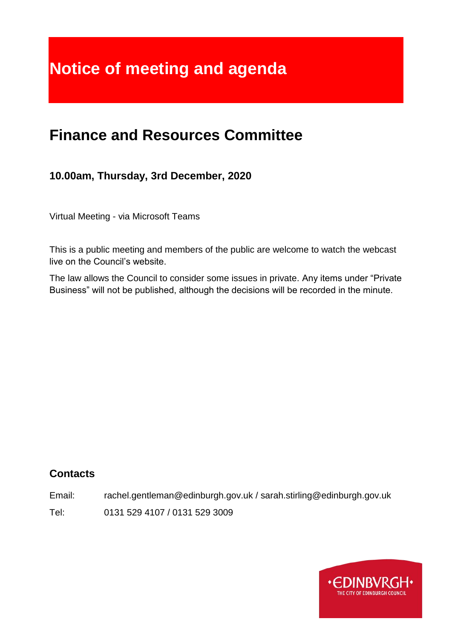# **Notice of meeting and agenda**

# **Finance and Resources Committee**

# **10.00am, Thursday, 3rd December, 2020**

Virtual Meeting - via Microsoft Teams

This is a public meeting and members of the public are welcome to watch the webcast live on the Council's website.

The law allows the Council to consider some issues in private. Any items under "Private Business" will not be published, although the decisions will be recorded in the minute.

### **Contacts**

Email: rachel.gentleman@edinburgh.gov.uk / sarah.stirling@edinburgh.gov.uk Tel: 0131 529 4107 / 0131 529 3009

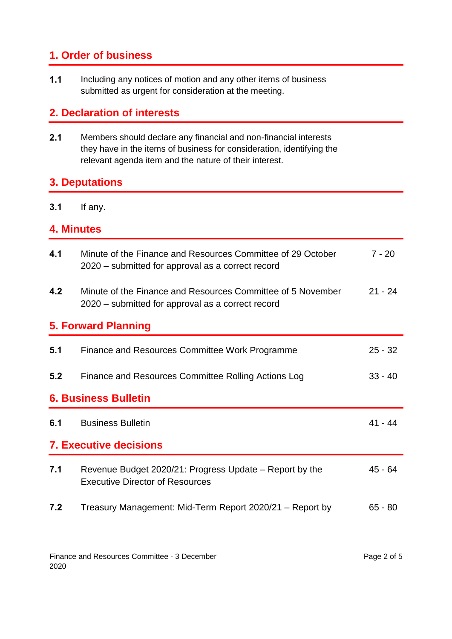# **1. Order of business**

**1.1** Including any notices of motion and any other items of business submitted as urgent for consideration at the meeting.

# **2. Declaration of interests**

**2.1** Members should declare any financial and non-financial interests they have in the items of business for consideration, identifying the relevant agenda item and the nature of their interest.

#### **3. Deputations**

**3.1** If any.

#### **4. Minutes**

| 4.1                           | Minute of the Finance and Resources Committee of 29 October<br>2020 – submitted for approval as a correct record | $7 - 20$  |  |
|-------------------------------|------------------------------------------------------------------------------------------------------------------|-----------|--|
| 4.2                           | Minute of the Finance and Resources Committee of 5 November<br>2020 – submitted for approval as a correct record | $21 - 24$ |  |
| <b>5. Forward Planning</b>    |                                                                                                                  |           |  |
| 5.1                           | Finance and Resources Committee Work Programme                                                                   | $25 - 32$ |  |
| 5.2                           | Finance and Resources Committee Rolling Actions Log                                                              | $33 - 40$ |  |
| <b>6. Business Bulletin</b>   |                                                                                                                  |           |  |
| 6.1                           | <b>Business Bulletin</b>                                                                                         | $41 - 44$ |  |
| <b>7. Executive decisions</b> |                                                                                                                  |           |  |
| 7.1                           | Revenue Budget 2020/21: Progress Update – Report by the<br><b>Executive Director of Resources</b>                | $45 - 64$ |  |
| 7.2                           | Treasury Management: Mid-Term Report 2020/21 - Report by                                                         | $65 - 80$ |  |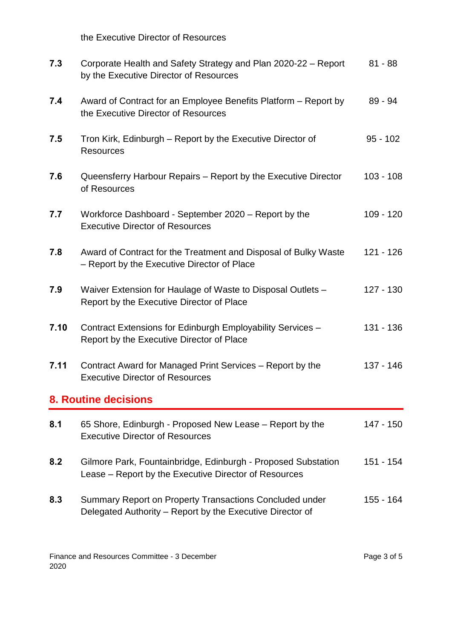the Executive Director of Resources

| 7.3  | Corporate Health and Safety Strategy and Plan 2020-22 - Report<br>by the Executive Director of Resources               | $81 - 88$   |  |  |  |
|------|------------------------------------------------------------------------------------------------------------------------|-------------|--|--|--|
| 7.4  | Award of Contract for an Employee Benefits Platform – Report by<br>the Executive Director of Resources                 | $89 - 94$   |  |  |  |
| 7.5  | Tron Kirk, Edinburgh – Report by the Executive Director of<br><b>Resources</b>                                         | $95 - 102$  |  |  |  |
| 7.6  | Queensferry Harbour Repairs - Report by the Executive Director<br>of Resources                                         | $103 - 108$ |  |  |  |
| 7.7  | Workforce Dashboard - September 2020 - Report by the<br><b>Executive Director of Resources</b>                         | $109 - 120$ |  |  |  |
| 7.8  | Award of Contract for the Treatment and Disposal of Bulky Waste<br>- Report by the Executive Director of Place         | 121 - 126   |  |  |  |
| 7.9  | Waiver Extension for Haulage of Waste to Disposal Outlets -<br>Report by the Executive Director of Place               | $127 - 130$ |  |  |  |
| 7.10 | Contract Extensions for Edinburgh Employability Services -<br>Report by the Executive Director of Place                | 131 - 136   |  |  |  |
| 7.11 | Contract Award for Managed Print Services – Report by the<br><b>Executive Director of Resources</b>                    | 137 - 146   |  |  |  |
|      | <b>8. Routine decisions</b>                                                                                            |             |  |  |  |
| 8.1  | 65 Shore, Edinburgh - Proposed New Lease - Report by the<br><b>Executive Director of Resources</b>                     | 147 - 150   |  |  |  |
| 8.2  | Gilmore Park, Fountainbridge, Edinburgh - Proposed Substation<br>Lease - Report by the Executive Director of Resources | 151 - 154   |  |  |  |
| 8.3  | Summary Report on Property Transactions Concluded under<br>Delegated Authority – Report by the Executive Director of   | 155 - 164   |  |  |  |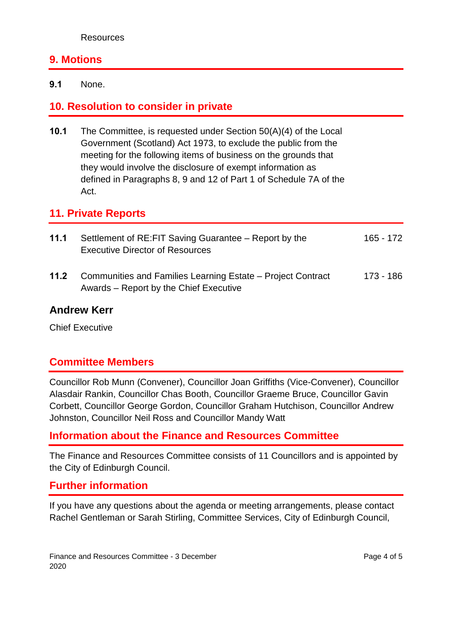#### **9. Motions**

**9.1** None.

#### **10. Resolution to consider in private**

**10.1** The Committee, is requested under Section 50(A)(4) of the Local Government (Scotland) Act 1973, to exclude the public from the meeting for the following items of business on the grounds that they would involve the disclosure of exempt information as defined in Paragraphs 8, 9 and 12 of Part 1 of Schedule 7A of the Act.

#### **11. Private Reports**

| 11.1 | Settlement of RE: FIT Saving Guarantee – Report by the<br><b>Executive Director of Resources</b>      | 165 - 172 |
|------|-------------------------------------------------------------------------------------------------------|-----------|
| 11.2 | Communities and Families Learning Estate – Project Contract<br>Awards – Report by the Chief Executive | 173 - 186 |

#### **Andrew Kerr**

Chief Executive

#### **Committee Members**

Councillor Rob Munn (Convener), Councillor Joan Griffiths (Vice-Convener), Councillor Alasdair Rankin, Councillor Chas Booth, Councillor Graeme Bruce, Councillor Gavin Corbett, Councillor George Gordon, Councillor Graham Hutchison, Councillor Andrew Johnston, Councillor Neil Ross and Councillor Mandy Watt

#### **Information about the Finance and Resources Committee**

The Finance and Resources Committee consists of 11 Councillors and is appointed by the City of Edinburgh Council.

#### **Further information**

If you have any questions about the agenda or meeting arrangements, please contact Rachel Gentleman or Sarah Stirling, Committee Services, City of Edinburgh Council,